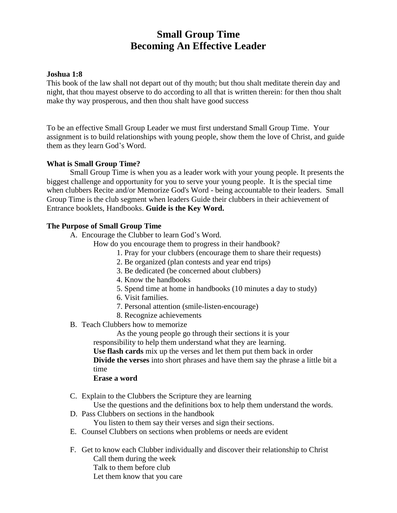# **Small Group Time Becoming An Effective Leader**

#### **Joshua 1:8**

This book of the law shall not depart out of thy mouth; but thou shalt meditate therein day and night, that thou mayest observe to do according to all that is written therein: for then thou shalt make thy way prosperous, and then thou shalt have good success

To be an effective Small Group Leader we must first understand Small Group Time. Your assignment is to build relationships with young people, show them the love of Christ, and guide them as they learn God's Word.

## **What is Small Group Time?**

Small Group Time is when you as a leader work with your young people. It presents the biggest challenge and opportunity for you to serve your young people. It is the special time when clubbers Recite and/or Memorize God's Word - being accountable to their leaders. Small Group Time is the club segment when leaders Guide their clubbers in their achievement of Entrance booklets, Handbooks. **Guide is the Key Word.**

#### **The Purpose of Small Group Time**

- A. Encourage the Clubber to learn God's Word.
	- How do you encourage them to progress in their handbook?
		- 1. Pray for your clubbers (encourage them to share their requests)
		- 2. Be organized (plan contests and year end trips)
		- 3. Be dedicated (be concerned about clubbers)
		- 4. Know the handbooks
		- 5. Spend time at home in handbooks (10 minutes a day to study)
		- 6. Visit families.
		- 7. Personal attention (smile-listen-encourage)
		- 8. Recognize achievements
- B. Teach Clubbers how to memorize

As the young people go through their sections it is your

responsibility to help them understand what they are learning.

**Use flash cards** mix up the verses and let them put them back in order **Divide the verses** into short phrases and have them say the phrase a little bit a time

#### **Erase a word**

C. Explain to the Clubbers the Scripture they are learning

Use the questions and the definitions box to help them understand the words.

D. Pass Clubbers on sections in the handbook

You listen to them say their verses and sign their sections.

- E. Counsel Clubbers on sections when problems or needs are evident
- F. Get to know each Clubber individually and discover their relationship to Christ Call them during the week Talk to them before club Let them know that you care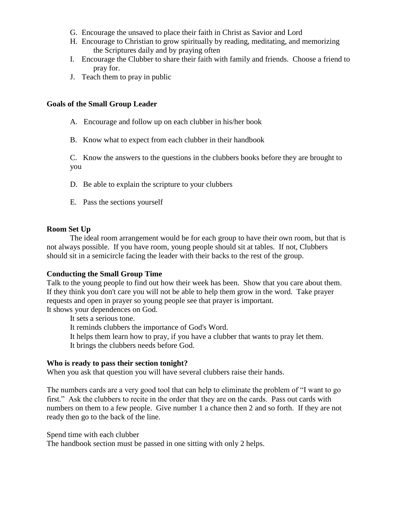- G. Encourage the unsaved to place their faith in Christ as Savior and Lord
- H. Encourage to Christian to grow spiritually by reading, meditating, and memorizing the Scriptures daily and by praying often
- I. Encourage the Clubber to share their faith with family and friends. Choose a friend to pray for.
- J. Teach them to pray in public

#### **Goals of the Small Group Leader**

- A. Encourage and follow up on each clubber in his/her book
- B. Know what to expect from each clubber in their handbook

C. Know the answers to the questions in the clubbers books before they are brought to you

- D. Be able to explain the scripture to your clubbers
- E. Pass the sections yourself

#### **Room Set Up**

The ideal room arrangement would be for each group to have their own room, but that is not always possible. If you have room, young people should sit at tables. If not, Clubbers should sit in a semicircle facing the leader with their backs to the rest of the group.

#### **Conducting the Small Group Time**

Talk to the young people to find out how their week has been. Show that you care about them. If they think you don't care you will not be able to help them grow in the word. Take prayer requests and open in prayer so young people see that prayer is important. It shows your dependences on God.

It sets a serious tone. It reminds clubbers the importance of God's Word. It helps them learn how to pray, if you have a clubber that wants to pray let them. It brings the clubbers needs before God.

#### **Who is ready to pass their section tonight?**

When you ask that question you will have several clubbers raise their hands.

The numbers cards are a very good tool that can help to eliminate the problem of "I want to go first." Ask the clubbers to recite in the order that they are on the cards. Pass out cards with numbers on them to a few people. Give number 1 a chance then 2 and so forth. If they are not ready then go to the back of the line.

Spend time with each clubber

The handbook section must be passed in one sitting with only 2 helps.